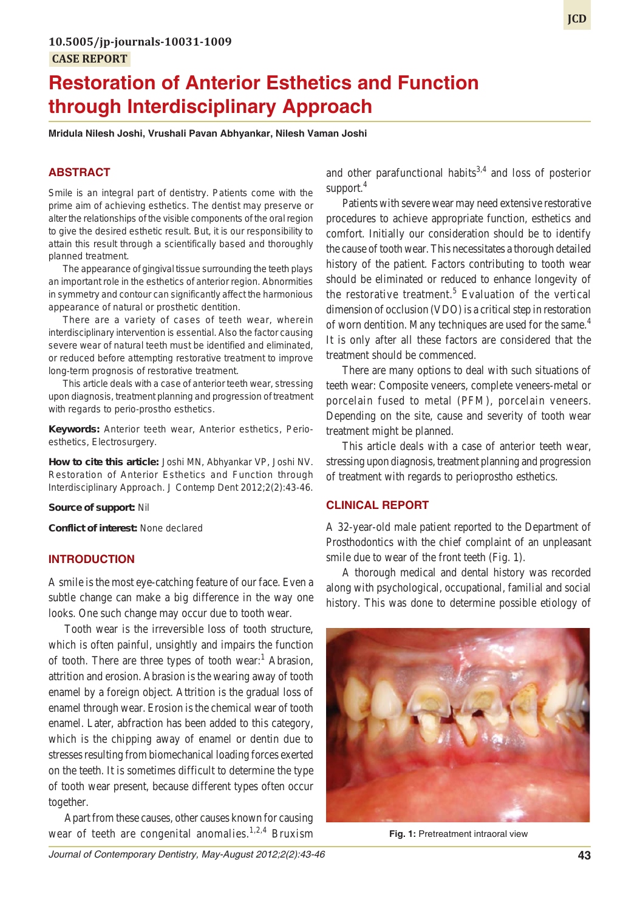# **Restoration of Anterior Esthetics and Function through Interdisciplinary Approach**

**Mridula Nilesh Joshi, Vrushali Pavan Abhyankar, Nilesh Vaman Joshi**

## **ABSTRACT**

Smile is an integral part of dentistry. Patients come with the prime aim of achieving esthetics. The dentist may preserve or alter the relationships of the visible components of the oral region to give the desired esthetic result. But, it is our responsibility to attain this result through a scientifically based and thoroughly planned treatment.

The appearance of gingival tissue surrounding the teeth plays an important role in the esthetics of anterior region. Abnormities in symmetry and contour can significantly affect the harmonious appearance of natural or prosthetic dentition.

There are a variety of cases of teeth wear, wherein interdisciplinary intervention is essential. Also the factor causing severe wear of natural teeth must be identified and eliminated, or reduced before attempting restorative treatment to improve long-term prognosis of restorative treatment.

This article deals with a case of anterior teeth wear, stressing upon diagnosis, treatment planning and progression of treatment with regards to perio-prostho esthetics.

**Keywords:** Anterior teeth wear, Anterior esthetics, Perioesthetics, Electrosurgery.

**How to cite this article:** Joshi MN, Abhyankar VP, Joshi NV. Restoration of Anterior Esthetics and Function through Interdisciplinary Approach. J Contemp Dent 2012;2(2):43-46.

**Source of support:** Nil

**Conflict of interest:** None declared

## **INTRODUCTION**

A smile is the most eye-catching feature of our face. Even a subtle change can make a big difference in the way one looks. One such change may occur due to tooth wear.

Tooth wear is the irreversible loss of tooth structure, which is often painful, unsightly and impairs the function of tooth. There are three types of tooth wear:<sup>1</sup> Abrasion, attrition and erosion. Abrasion is the wearing away of tooth enamel by a foreign object. Attrition is the gradual loss of enamel through wear. Erosion is the chemical wear of tooth enamel. Later, abfraction has been added to this category, which is the chipping away of enamel or dentin due to stresses resulting from biomechanical loading forces exerted on the teeth. It is sometimes difficult to determine the type of tooth wear present, because different types often occur together.

Apart from these causes, other causes known for causing wear of teeth are congenital anomalies.<sup>1,2,4</sup> Bruxism and other parafunctional habits<sup>3,4</sup> and loss of posterior support.<sup>4</sup>

Patients with severe wear may need extensive restorative procedures to achieve appropriate function, esthetics and comfort. Initially our consideration should be to identify the cause of tooth wear. This necessitates a thorough detailed history of the patient. Factors contributing to tooth wear should be eliminated or reduced to enhance longevity of the restorative treatment.<sup>5</sup> Evaluation of the vertical dimension of occlusion (VDO) is a critical step in restoration of worn dentition. Many techniques are used for the same.<sup>4</sup> It is only after all these factors are considered that the treatment should be commenced.

There are many options to deal with such situations of teeth wear: Composite veneers, complete veneers-metal or porcelain fused to metal (PFM), porcelain veneers. Depending on the site, cause and severity of tooth wear treatment might be planned.

This article deals with a case of anterior teeth wear, stressing upon diagnosis, treatment planning and progression of treatment with regards to perioprostho esthetics.

## **CLINICAL REPORT**

A 32-year-old male patient reported to the Department of Prosthodontics with the chief complaint of an unpleasant smile due to wear of the front teeth (Fig. 1).

A thorough medical and dental history was recorded along with psychological, occupational, familial and social history. This was done to determine possible etiology of



**Fig. 1:** Pretreatment intraoral view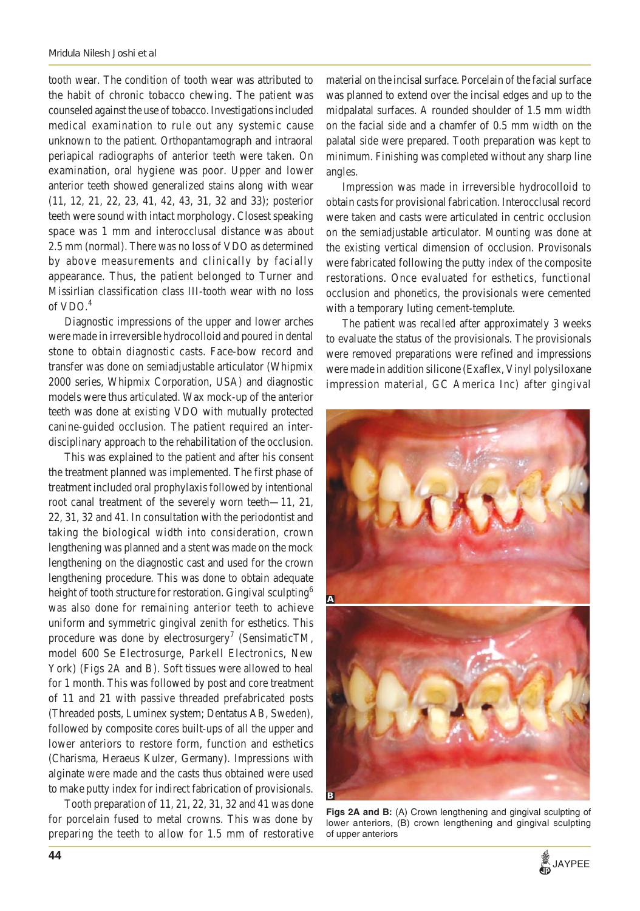tooth wear. The condition of tooth wear was attributed to the habit of chronic tobacco chewing. The patient was counseled against the use of tobacco. Investigations included medical examination to rule out any systemic cause unknown to the patient. Orthopantamograph and intraoral periapical radiographs of anterior teeth were taken. On examination, oral hygiene was poor. Upper and lower anterior teeth showed generalized stains along with wear (11, 12, 21, 22, 23, 41, 42, 43, 31, 32 and 33); posterior teeth were sound with intact morphology. Closest speaking space was 1 mm and interocclusal distance was about 2.5 mm (normal). There was no loss of VDO as determined by above measurements and clinically by facially appearance. Thus, the patient belonged to Turner and Missirlian classification class III-tooth wear with no loss of VDO. $4$ 

Diagnostic impressions of the upper and lower arches were made in irreversible hydrocolloid and poured in dental stone to obtain diagnostic casts. Face-bow record and transfer was done on semiadjustable articulator (Whipmix 2000 series, Whipmix Corporation, USA) and diagnostic models were thus articulated. Wax mock-up of the anterior teeth was done at existing VDO with mutually protected canine-guided occlusion. The patient required an interdisciplinary approach to the rehabilitation of the occlusion.

This was explained to the patient and after his consent the treatment planned was implemented. The first phase of treatment included oral prophylaxis followed by intentional root canal treatment of the severely worn teeth—11, 21, 22, 31, 32 and 41. In consultation with the periodontist and taking the biological width into consideration, crown lengthening was planned and a stent was made on the mock lengthening on the diagnostic cast and used for the crown lengthening procedure. This was done to obtain adequate height of tooth structure for restoration. Gingival sculpting<sup>6</sup> was also done for remaining anterior teeth to achieve uniform and symmetric gingival zenith for esthetics. This procedure was done by electrosurgery<sup>7</sup> (SensimaticTM, model 600 Se Electrosurge, Parkell Electronics, New York) (Figs 2A and B). Soft tissues were allowed to heal for 1 month. This was followed by post and core treatment of 11 and 21 with passive threaded prefabricated posts (Threaded posts, Luminex system; Dentatus AB, Sweden), followed by composite cores built-ups of all the upper and lower anteriors to restore form, function and esthetics (Charisma, Heraeus Kulzer, Germany). Impressions with alginate were made and the casts thus obtained were used to make putty index for indirect fabrication of provisionals.

Tooth preparation of 11, 21, 22, 31, 32 and 41 was done for porcelain fused to metal crowns. This was done by preparing the teeth to allow for 1.5 mm of restorative

material on the incisal surface. Porcelain of the facial surface was planned to extend over the incisal edges and up to the midpalatal surfaces. A rounded shoulder of 1.5 mm width on the facial side and a chamfer of 0.5 mm width on the palatal side were prepared. Tooth preparation was kept to minimum. Finishing was completed without any sharp line angles.

Impression was made in irreversible hydrocolloid to obtain casts for provisional fabrication. Interocclusal record were taken and casts were articulated in centric occlusion on the semiadjustable articulator. Mounting was done at the existing vertical dimension of occlusion. Provisonals were fabricated following the putty index of the composite restorations. Once evaluated for esthetics, functional occlusion and phonetics, the provisionals were cemented with a temporary luting cement-templute.

The patient was recalled after approximately 3 weeks to evaluate the status of the provisionals. The provisionals were removed preparations were refined and impressions were made in addition silicone (Exaflex, Vinyl polysiloxane impression material, GC America Inc) after gingival



**Figs 2A and B:** (A) Crown lengthening and gingival sculpting of lower anteriors, (B) crown lengthening and gingival sculpting of upper anteriors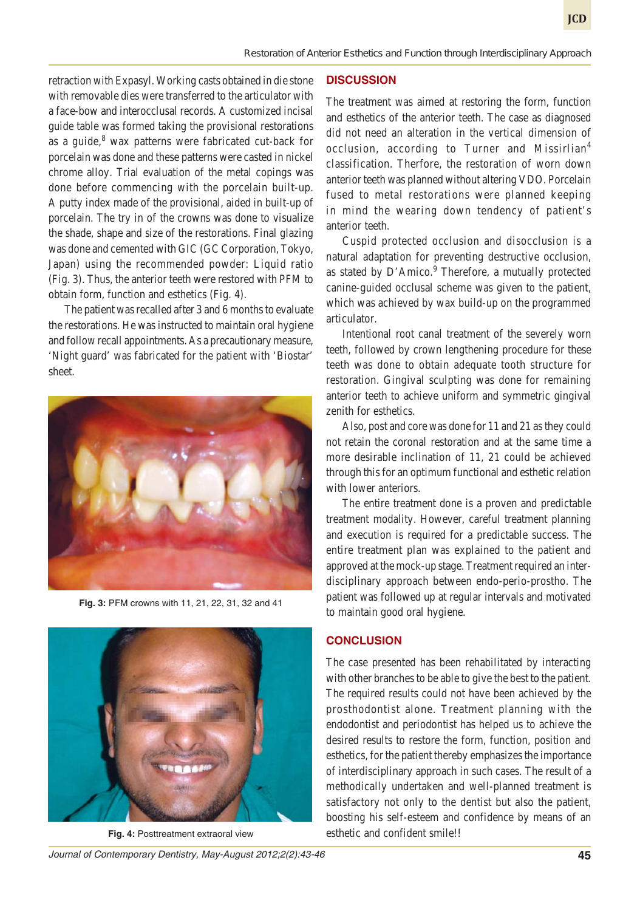retraction with Expasyl. Working casts obtained in die stone with removable dies were transferred to the articulator with a face-bow and interocclusal records. A customized incisal guide table was formed taking the provisional restorations as a guide, $8$  wax patterns were fabricated cut-back for porcelain was done and these patterns were casted in nickel chrome alloy. Trial evaluation of the metal copings was done before commencing with the porcelain built-up. A putty index made of the provisional, aided in built-up of porcelain. The try in of the crowns was done to visualize the shade, shape and size of the restorations. Final glazing was done and cemented with GIC (GC Corporation, Tokyo, Japan) using the recommended powder: Liquid ratio (Fig. 3). Thus, the anterior teeth were restored with PFM to obtain form, function and esthetics (Fig. 4).

The patient was recalled after 3 and 6 months to evaluate the restorations. He was instructed to maintain oral hygiene and follow recall appointments. As a precautionary measure, 'Night guard' was fabricated for the patient with 'Biostar' sheet.



**Fig. 3:** PFM crowns with 11, 21, 22, 31, 32 and 41



## **DISCUSSION**

The treatment was aimed at restoring the form, function and esthetics of the anterior teeth. The case as diagnosed did not need an alteration in the vertical dimension of occlusion, according to Turner and Missirlian<sup>4</sup> classification. Therfore, the restoration of worn down anterior teeth was planned without altering VDO. Porcelain fused to metal restorations were planned keeping in mind the wearing down tendency of patient's anterior teeth.

Cuspid protected occlusion and disocclusion is a natural adaptation for preventing destructive occlusion, as stated by D'Amico.<sup>9</sup> Therefore, a mutually protected canine-guided occlusal scheme was given to the patient, which was achieved by wax build-up on the programmed articulator.

Intentional root canal treatment of the severely worn teeth, followed by crown lengthening procedure for these teeth was done to obtain adequate tooth structure for restoration. Gingival sculpting was done for remaining anterior teeth to achieve uniform and symmetric gingival zenith for esthetics.

Also, post and core was done for 11 and 21 as they could not retain the coronal restoration and at the same time a more desirable inclination of 11, 21 could be achieved through this for an optimum functional and esthetic relation with lower anteriors.

The entire treatment done is a proven and predictable treatment modality. However, careful treatment planning and execution is required for a predictable success. The entire treatment plan was explained to the patient and approved at the mock-up stage. Treatment required an interdisciplinary approach between endo-perio-prostho. The patient was followed up at regular intervals and motivated to maintain good oral hygiene.

#### **CONCLUSION**

The case presented has been rehabilitated by interacting with other branches to be able to give the best to the patient. The required results could not have been achieved by the prosthodontist alone. Treatment planning with the endodontist and periodontist has helped us to achieve the desired results to restore the form, function, position and esthetics, for the patient thereby emphasizes the importance of interdisciplinary approach in such cases. The result of a methodically undertaken and well-planned treatment is satisfactory not only to the dentist but also the patient, boosting his self-esteem and confidence by means of an Fig. 4: Posttreatment extraoral view esthetic and confident smile!!

*Journal of Contemporary Dentistry, May-August 2012;2(2):43-46* **45**